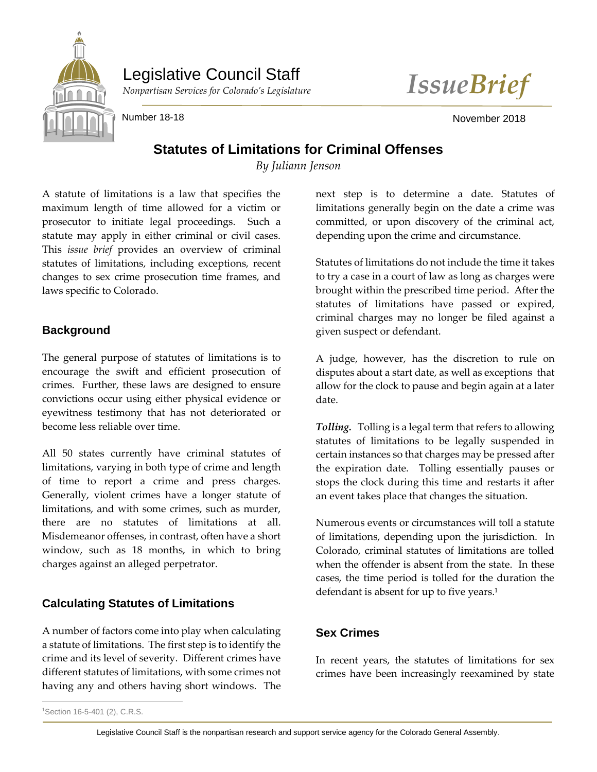

Legislative Council Staff



Number 18-18 November 2018

# **Statutes of Limitations for Criminal Offenses**

*By Juliann Jenson*

A statute of limitations is a law that specifies the maximum length of time allowed for a victim or prosecutor to initiate legal proceedings. Such a statute may apply in either criminal or civil cases. This *issue brief* provides an overview of criminal statutes of limitations, including exceptions, recent changes to sex crime prosecution time frames, and laws specific to Colorado.

#### **Background**

The general purpose of statutes of limitations is to encourage the swift and efficient prosecution of crimes. Further, these laws are designed to ensure convictions occur using either physical evidence or eyewitness testimony that has not deteriorated or become less reliable over time.

All 50 states currently have criminal statutes of limitations, varying in both type of crime and length of time to report a crime and press charges. Generally, violent crimes have a longer statute of limitations, and with some crimes, such as murder, there are no statutes of limitations at all. Misdemeanor offenses, in contrast, often have a short window, such as 18 months, in which to bring charges against an alleged perpetrator.

## **Calculating Statutes of Limitations**

A number of factors come into play when calculating a statute of limitations. The first step is to identify the crime and its level of severity. Different crimes have different statutes of limitations, with some crimes not having any and others having short windows. The

next step is to determine a date. Statutes of limitations generally begin on the date a crime was committed, or upon discovery of the criminal act, depending upon the crime and circumstance.

Statutes of limitations do not include the time it takes to try a case in a court of law as long as charges were brought within the prescribed time period. After the statutes of limitations have passed or expired, criminal charges may no longer be filed against a given suspect or defendant.

A judge, however, has the discretion to rule on disputes about a start date, as well as exceptions that allow for the clock to pause and begin again at a later date.

*Tolling.* Tolling is a legal term that refers to allowing statutes of limitations to be legally suspended in certain instances so that charges may be pressed after the expiration date. Tolling essentially pauses or stops the clock during this time and restarts it after an event takes place that changes the situation.

Numerous events or circumstances will toll a statute of limitations, depending upon the jurisdiction. In Colorado, criminal statutes of limitations are tolled when the offender is absent from the state. In these cases, the time period is tolled for the duration the defendant is absent for up to five years.<sup>1</sup>

## **Sex Crimes**

In recent years, the statutes of limitations for sex crimes have been increasingly reexamined by state

 $\overline{a}$ <sup>1</sup>Section 16-5-401 (2), C.R.S.